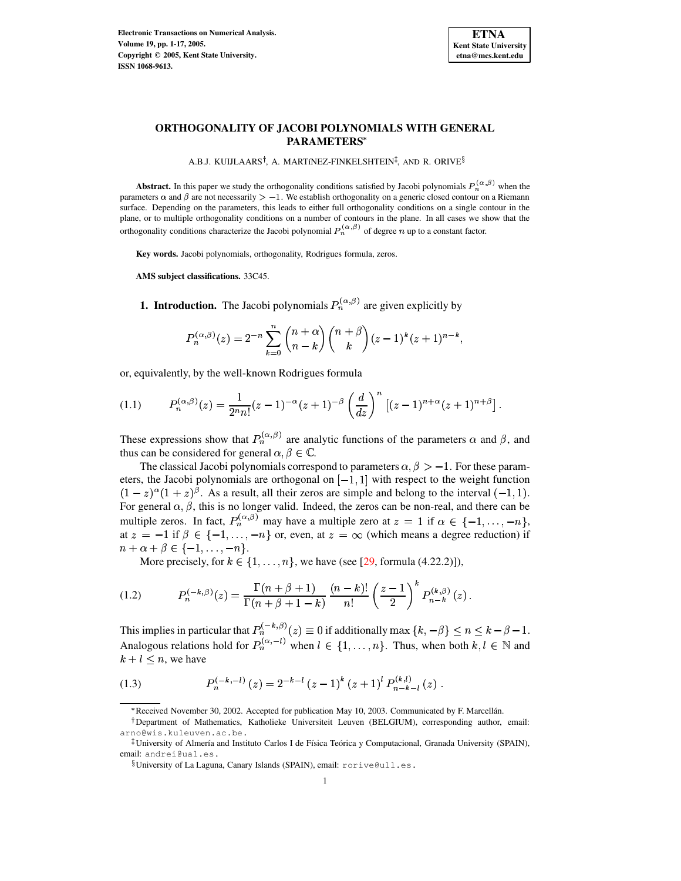

## **ORTHOGONALITY OF JACOBI POLYNOMIALS WITH GENERAL PARAMETERS**

A.B.J. KUIJLAARS<sup>†</sup>, A. MARTíNEZ-FINKELSHTEIN<sup>‡</sup>, AND R. ORIVE<sup>§</sup>

**Abstract.** In this paper we study the orthogonality conditions satisfied by Jacobi polynomials  $P_n^{(\alpha,\beta)}$  when the parameters  $\alpha$  and  $\beta$  are not necessarily  $> -1$ . We establish orthogonality on a generic closed contour on a Riemann surface. Depending on the parameters, this leads to either full orthogonality conditions on a single contour in the plane, or to multiple orthogonality conditions on a number of contours in the plane. In all cases we show that the orthogonality conditions characterize the Jacobi polynomial  $P_n^{(\alpha,\beta)}$  of degree n up to a constant factor.

**Key words.** Jacobi polynomials, orthogonality, Rodrigues formula, zeros.

**AMS subject classifications.** 33C45.

**1. Introduction.** The Jacobi polynomials  $P_n^{(\alpha,\beta)}$  are given explicitly by

<span id="page-0-1"></span>
$$
P_n^{(\alpha,\beta)}(z) = 2^{-n} \sum_{k=0}^n {n+\alpha \choose n-k} {n+\beta \choose k} (z-1)^k (z+1)^{n-k},
$$

or, equivalently, by the well-known Rodrigues formula

$$
(1.1) \tP_n^{(\alpha,\beta)}(z) = \frac{1}{2^n n!} (z-1)^{-\alpha} (z+1)^{-\beta} \left(\frac{d}{dz}\right)^n \left[ (z-1)^{n+\alpha} (z+1)^{n+\beta} \right].
$$

These expressions show that  $P_n^{(\alpha,\beta)}$  are analytic functions of the parameters  $\alpha$  and  $\beta$ , and thus can be considered for general  $\alpha, \beta \in \mathbb{C}$ .

The classical Jacobi polynomials correspond to parameters  $\alpha, \beta > -1$ . For these parameters, the Jacobi polynomials are orthogonal on  $[-1, 1]$  with respect to the weight function  $(1-z)^{\alpha}(1+z)^{\beta}$ . As a result, all their zeros are simple and belong to the interval  $(-1, 1)$ . For general  $\alpha, \beta$ , this is no longer valid. Indeed, the zeros can be non-real, and there can be multiple zeros. In fact,  $P_n^{(\alpha,\beta)}$  may have a multiple zero at  $z = 1$  if  $\alpha \in \{-1,\dots,-n\}$ , at  $z = -1$  if  $\beta \in \{-1, \ldots, -n\}$  or, even, at  $z = \infty$  (which means a degree reduction) if  $n + \alpha + \beta \in \{-1, \ldots, -n\}.$ 

More precisely, for  $k \in \{1, \ldots, n\}$ , we have (see [\[29,](#page-16-0) formula (4.22.2)]),

(1.2) 
$$
P_n^{(-k,\beta)}(z) = \frac{\Gamma(n+\beta+1)}{\Gamma(n+\beta+1-k)} \frac{(n-k)!}{n!} \left(\frac{z-1}{2}\right)^k P_{n-k}^{(k,\beta)}(z).
$$

-

This implies in particular that  $P_n^{(-k,\beta)}(z) \equiv 0$  if  $\cdot$  +  $\cdot$  +  $\cdot$  +  $\cdot$  +  $\cdot$  +  $\cdot$  +  $\cdot$  +  $\cdot$  +  $\cdot$  +  $\cdot$  +  $\cdot$  +  $\cdot$  +  $\cdot$  +  $\cdot$  +  $\cdot$  +  $\cdot$  +  $\cdot$  +  $\cdot$  +  $\cdot$  +  $\cdot$  +  $\cdot$  +  $\cdot$  +  $\cdot$  +  $\cdot$  +  $\cdot$  +  $\cdot$  +  $\cdot$  +  $\cdot$  +  $\cdot$  +  $\cdot$  +  $\cdot$  +  $\cdot$  $\mathbb{R}_n^{(-k,\beta)}(z)\equiv 0$  if additionally max  $\{k,-\beta\}\leq n\leq k-\beta-1.$ Analogous relations hold for  $P_n^{(\alpha,-l)}$  when  $l \in \{1,\ldots,n\}$ . Thus, when both  $k, l \in \mathbb{N}$  and  $k+l \leq n$ , we have

<span id="page-0-0"></span>-

(1.3) 
$$
P_n^{(-k,-l)}(z) = 2^{-k-l} (z-1)^k (z+1)^l P_{n-k-l}^{(k,l)}(z).
$$

<sup>\*</sup> Received November 30, 2002. Accepted for publication May 10, 2003. Communicated by F. Marcellán.

<sup>&</sup>lt;sup>†</sup>Department of Mathematics, Katholieke Universiteit Leuven (BELGIUM), corresponding author, email: arno@wis.kuleuven.ac.be.

University of Almería and Instituto Carlos I de Física Teórica y Computacional, Granada University (SPAIN), email: andrei@ual.es.

 $\S$ University of La Laguna, Canary Islands (SPAIN), email: <code>rorive@ull.es.</code>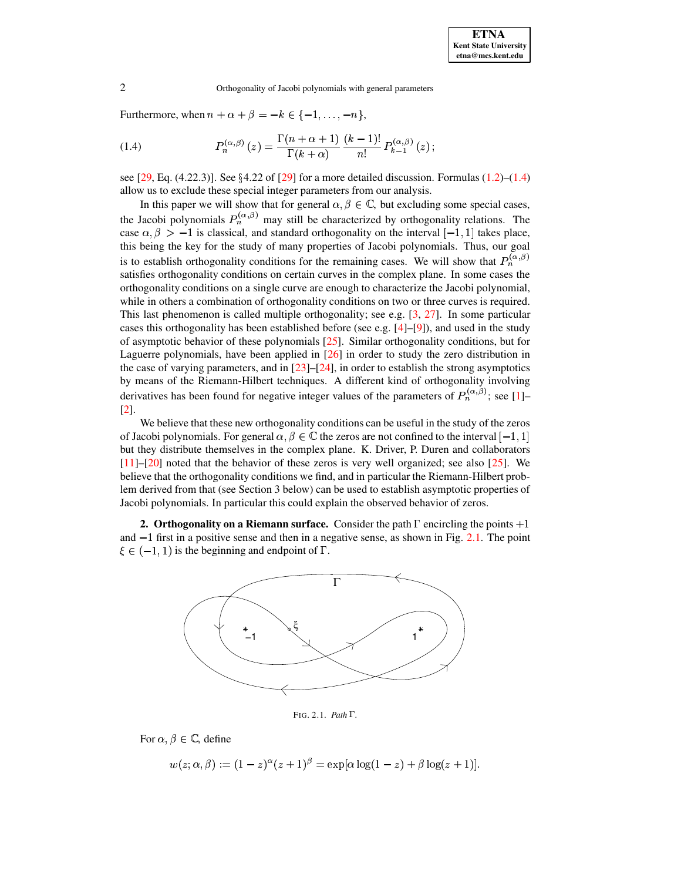<span id="page-1-0"></span>Furthermore, when  $n + \alpha + \beta = -k \in \{-1, \ldots, -n\},\$ 

(1.4) 
$$
P_n^{(\alpha,\beta)}(z) = \frac{\Gamma(n+\alpha+1)}{\Gamma(k+\alpha)} \frac{(k-1)!}{n!} P_{k-1}^{(\alpha,\beta)}(z) ;
$$

see  $[29, Eq. (4.22.3)]$  $[29, Eq. (4.22.3)]$ . See  $\S 4.22$  of  $[29]$  for a more detailed discussion. Formulas  $(1.2)$ – $(1.4)$ allow us to exclude these special integer parameters from our analysis.

In this paper we will show that for general  $\alpha, \beta \in \mathbb{C}$ , but excluding some special cases, the Jacobi polynomials  $P_n^{(\alpha,\beta)}$  may still be characterized by orthogonality relations. The case  $\alpha, \beta > -1$  is classical, and standard orthogonality on the interval  $[-1, 1]$  takes place, this being the key for the study of many properties of Jacobi polynomials. Thus, our goal is to establish orthogonality conditions for the remaining cases. We will show that  $P_n^{(\alpha,\beta)}$  satisfies orthogonality conditions on certain curves in the complex plane. In some cases the orthogonality conditions on a single curve are enough to characterize the Jacobi polynomial, while in others a combination of orthogonality conditions on two or three curves is required. This last phenomenon is called multiple orthogonality; see e.g. [\[3,](#page-15-0) [27\]](#page-16-1). In some particular cases this orthogonality has been established before (see e.g.  $[4]-[9]$  $[4]-[9]$  $[4]-[9]$ ), and used in the study of asymptotic behavior of these polynomials [\[25\]](#page-16-3). Similar orthogonality conditions, but for Laguerre polynomials, have been applied in [\[26\]](#page-16-4) in order to study the zero distribution in the case of varying parameters, and in  $[23]$ – $[24]$ , in order to establish the strong asymptotics by means of the Riemann-Hilbert techniques. A different kind of orthogonality involving derivatives has been found for negative integer values of the parameters of  $P_n^{(\alpha,\beta)}$ ; see [\[1\]](#page-15-2)– [\[2\]](#page-15-3).

We believe that these new orthogonality conditions can be useful in the study of the zeros of Jacobi polynomials. For general  $\alpha, \beta \in \mathbb{C}$  the zeros are not confined to the interval  $[-1, 1]$ but they distribute themselves in the complex plane. K. Driver, P. Duren and collaborators [\[11\]](#page-16-7)–[\[20\]](#page-16-8) noted that the behavior of these zeros is very well organized; see also [\[25\]](#page-16-3). We believe that the orthogonality conditions we find, and in particular the Riemann-Hilbert problem derived from that (see Section 3 below) can be used to establish asymptotic properties of Jacobi polynomials. In particular this could explain the observed behavior of zeros.

**2. Orthogonality on a Riemann surface.** Consider the path  $\Gamma$  encircling the points  $+1$ and  $-1$  first in a positive sense and then in a negative sense, as shown in Fig. [2.1.](#page-15-4) The point  $\xi \in (-1, 1)$  is the beginning and endpoint of  $\Gamma$ .



FIG. 2.1. *Path*  $\Gamma$ .

For  $\alpha, \beta \in \mathbb{C}$ , define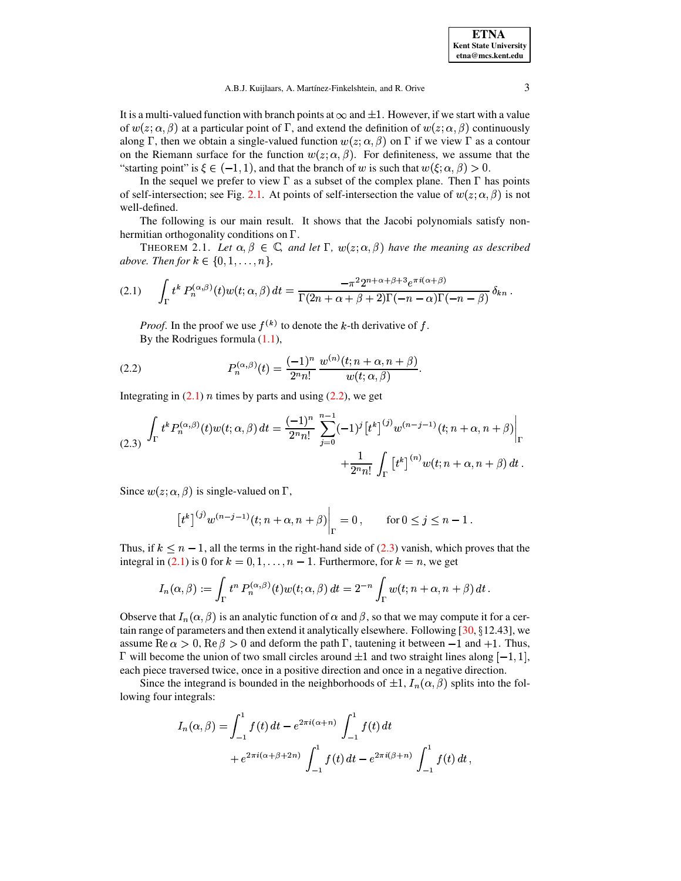A.B.J. Kuijlaars, A. Martínez-Finkelshtein, and R. Orive 3

It is a multi-valued function with branch points at  $\infty$  and  $\pm 1$ . However, if we start with a value of  $w(z; \alpha, \beta)$  at a particular point of  $\Gamma$ , and extend the definition of  $w(z; \alpha, \beta)$  continuously along  $\Gamma$ , then we obtain a single-valued function  $w(z; \alpha, \beta)$  on  $\Gamma$  if we view  $\Gamma$  as a contour on the Riemann surface for the function  $w(z; \alpha, \beta)$ . For definiteness, we assume that the "starting point" is  $\xi \in (-1, 1)$ , and that the branch of w is such that  $w(\xi; \alpha, \beta) > 0$ .

In the sequel we prefer to view  $\Gamma$  as a subset of the complex plane. Then  $\Gamma$  has points of self-intersection; see Fig. [2.1.](#page-15-4) At points of self-intersection the value of  $w(z; \alpha, \beta)$  is not well-defined.

<span id="page-2-3"></span>The following is our main result. It shows that the Jacobi polynomials satisfy nonhermitian orthogonality conditions on  $\Gamma$ .

<span id="page-2-0"></span>THEOREM 2.1. Let  $\alpha, \beta \in \mathbb{C}$ , and let  $\Gamma$ ,  $w(z; \alpha, \beta)$  have the meaning as described *above.* Then for  $k \in \{0, 1, \ldots, n\}$ ,

$$
(2.1) \qquad \int_{\Gamma} t^k P_n^{(\alpha,\beta)}(t) w(t; \alpha, \beta) dt = \frac{-\pi^2 2^{n+\alpha+\beta+3} e^{\pi i (\alpha+\beta)}}{\Gamma(2n+\alpha+\beta+2)\Gamma(-n-\alpha)\Gamma(-n-\beta)} \delta_{kn}.
$$

<span id="page-2-1"></span>*Proof.* In the proof we use  $f^{(k)}$  to denote the k-th derivative of f. By the Rodrigues formula [\(1.1\)](#page-0-1),

(2.2) 
$$
P_n^{(\alpha,\beta)}(t) = \frac{(-1)^n}{2^n n!} \frac{w^{(n)}(t; n + \alpha, n + \beta)}{w(t; \alpha, \beta)}.
$$

Integrating in  $(2.1)$  *n* times by parts and using  $(2.2)$ , we get

$$
(2.3) \int_{\Gamma} t^k P_n^{(\alpha,\beta)}(t) w(t; \alpha, \beta) dt = \frac{(-1)^n}{2^n n!} \sum_{j=0}^{n-1} (-1)^j [t^k]^{(j)} w^{(n-j-1)}(t; n+\alpha, n+\beta) \Big|_{\Gamma} + \frac{1}{2^n n!} \int_{\Gamma} [t^k]^{(n)} w(t; n+\alpha, n+\beta) dt.
$$

Since  $w(z; \alpha, \beta)$  is single-valued on  $\Gamma$ ,

<span id="page-2-2"></span>
$$
[t^k]^{(j)} w^{(n-j-1)}(t; n+\alpha, n+\beta)\Big|_{\Gamma} = 0, \quad \text{for } 0 \le j \le n-1.
$$

Thus, if  $k < n-1$ , all the terms in the right-hand side of [\(2.3\)](#page-2-2) vanish, which proves that the integral in [\(2.1\)](#page-2-0) is 0 for  $k = 0, 1, ..., n - 1$ . Furthermore, for  $k = n$ , we get

$$
I_n(\alpha,\beta):=\int_\Gamma t^n\,P_n^{(\alpha,\beta)}(t)w(t;\alpha,\beta)\,dt=2^{-n}\int_\Gamma w(t;n+\alpha,n+\beta)\,dt\,.
$$

Observe that  $I_n(\alpha, \beta)$  is an analytic function of  $\alpha$  and  $\beta$ , so that we may compute it for a certain range of parameters and then extend it analytically elsewhere. Following  $[30, §12.43]$  $[30, §12.43]$ , we assume Re  $\alpha > 0$ , Re  $\beta > 0$  and deform the path  $\Gamma$ , tautening it between  $-1$  and  $+1$ . Thus, will become the union of two small circles around  $\pm 1$  and two straight lines along  $[-1, 1]$ , each piece traversed twice, once in a positive direction and once in a negative direction.

Since the integrand is bounded in the neighborhoods of  $\pm 1$ ,  $I_n(\alpha, \beta)$  splits into the following four integrals:

$$
I_n(\alpha, \beta) = \int_{-1}^1 f(t) dt - e^{2\pi i (\alpha + n)} \int_{-1}^1 f(t) dt
$$
  
+  $e^{2\pi i (\alpha + \beta + 2n)} \int_{-1}^1 f(t) dt - e^{2\pi i (\beta + n)} \int_{-1}^1 f(t) dt$ ,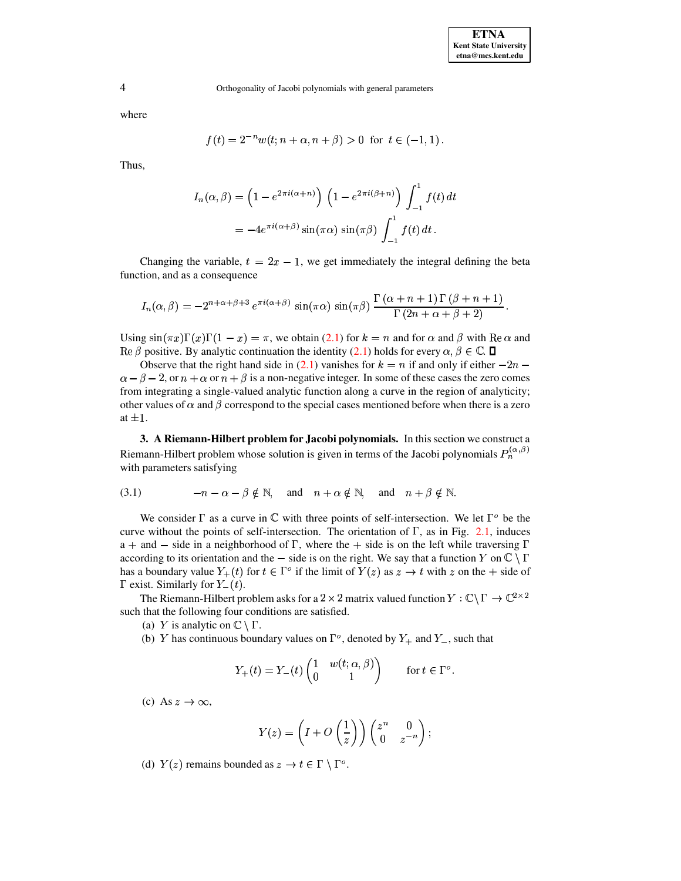where

$$
f(t) = 2^{-n} w(t; n + \alpha, n + \beta) > 0 \text{ for } t \in (-1, 1).
$$

Thus,

$$
I_n(\alpha, \beta) = \left(1 - e^{2\pi i(\alpha + n)}\right) \left(1 - e^{2\pi i(\beta + n)}\right) \int_{-1}^1 f(t) dt
$$
  
= 
$$
-4e^{\pi i(\alpha + \beta)} \sin(\pi \alpha) \sin(\pi \beta) \int_{-1}^1 f(t) dt.
$$

Changing the variable,  $t = 2x - 1$ , we get immediately the integral defining the beta function, and as a consequence

$$
I_n(\alpha,\beta) = -2^{n+\alpha+\beta+3} e^{\pi i (\alpha+\beta)} \sin(\pi \alpha) \sin(\pi \beta) \frac{\Gamma(\alpha+n+1) \Gamma(\beta+n+1)}{\Gamma(2n+\alpha+\beta+2)}.
$$

Using  $\sin(\pi x)\Gamma(x)\Gamma(1-x) = \pi$ , we obtain [\(2.1\)](#page-2-0) for  $k = n$  and for  $\alpha$  and  $\beta$  with Re $\alpha$  and Re  $\beta$  positive. By analytic continuation the identity [\(2.1\)](#page-2-0) holds for every  $\alpha, \beta \in \mathbb{C}$ .

Observe that the right hand side in [\(2.1\)](#page-2-0) vanishes for  $k = n$  if and only if either  $-2n$  –  $\alpha - \beta - 2$ , or  $n + \alpha$  or  $n + \beta$  is a non-negative integer. In some of these cases the zero comes from integrating a single-valued analytic function along a curve in the region of analyticity; other values of  $\alpha$  and  $\beta$  correspond to the special cases mentioned before when there is a zero at  $\pm 1$ .

**3. A Riemann-Hilbert problem for Jacobi polynomials.** In this section we construct a Riemann-Hilbert problem whose solution is given in terms of the Jacobi polynomials  $P_n^{(\alpha,\beta)}$  with parameters satisfying

<span id="page-3-0"></span>(3.1) 
$$
-n - \alpha - \beta \notin \mathbb{N}
$$
, and  $n + \alpha \notin \mathbb{N}$ , and  $n + \beta \notin \mathbb{N}$ .

We consider  $\Gamma$  as a curve in C with three points of self-intersection. We let  $\Gamma^{\circ}$  be the curve without the points of self-intersection. The orientation of  $\Gamma$ , as in Fig. [2.1,](#page-15-4) induces  $a +$  and  $-$  side in a neighborhood of  $\Gamma$ , where the  $+$  side is on the left while traversing according to its orientation and the  $-$  side is on the right. We say that a function Y on  $\mathbb{C}\setminus\Gamma$ has a boundary value  $Y_+(t)$  for  $t \in \Gamma^o$  if the limit of  $Y(z)$  as  $z \to t$  with  $z$  on the  $+$  side of exist. Similarly for  $Y_{-}(t)$ .

The Riemann-Hilbert problem asks for a 2  $\times$  2 matrix valued function  $Y : \mathbb{C} \backslash \Gamma \to \mathbb{C}^{2 \times 2}$ such that the following four conditions are satisfied.

(a) Y is analytic on  $\mathbb{C} \setminus \Gamma$ .

(b) Y has continuous boundary values on  $\Gamma^o$ , denoted by  $Y_+$  and  $Y_-$ , such that

$$
Y_+(t) = Y_-(t) \begin{pmatrix} 1 & w(t; \alpha, \beta) \\ 0 & 1 \end{pmatrix} \quad \text{for } t \in \Gamma^o.
$$

(c) As  $z \to \infty$ ,

$$
Y(z) = \left(I + O\left(\frac{1}{z}\right)\right) \begin{pmatrix} z^n & 0 \\ 0 & z^{-n} \end{pmatrix};
$$

(d)  $Y(z)$  remains bounded as  $z \to t \in \Gamma \setminus \Gamma^o$ .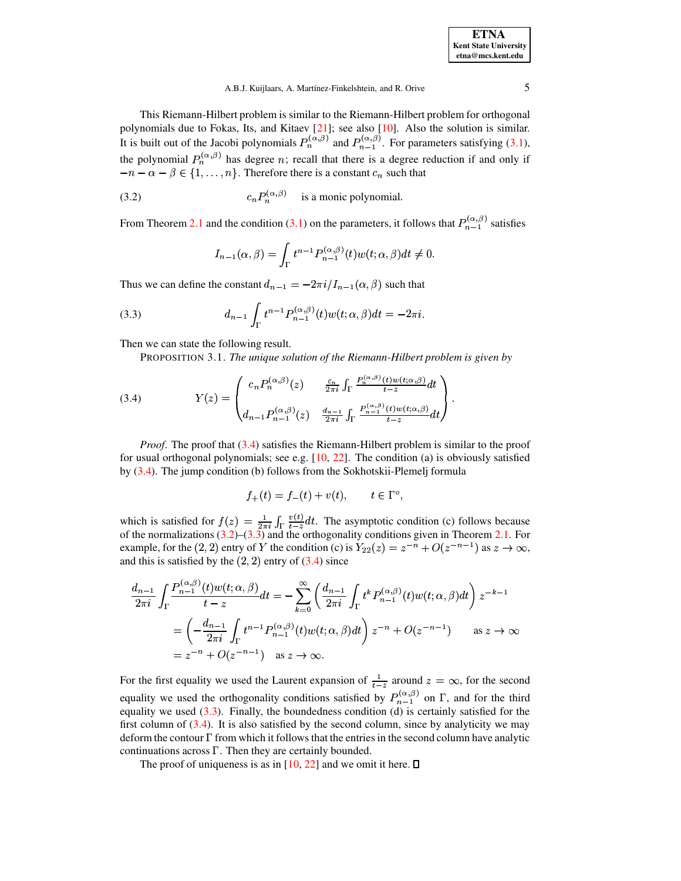This Riemann-Hilbert problem is similar to the Riemann-Hilbert problem for orthogonal polynomials due to Fokas, Its, and Kitaev  $[21]$ ; see also  $[10]$ . Also the solution is similar. It is built out of the Jacobi polynomials  $P_n^{(\alpha,\beta)}$  and  $P_{n-1}^{(\alpha,\beta)}$ . For parameters satisfying (3.1), the polynomial  $P_n^{(\alpha,\beta)}$  has degree n; recall that there is a degree reduction if and only if  $-n-\alpha-\beta \in \{1,\ldots,n\}$ . Therefore there is a constant  $c_n$  such that

(3.2) 
$$
c_n P_n^{(\alpha,\beta)} \quad \text{is a monic polynomial}
$$

From Theorem 2.1 and the condition (3.1) on the parameters, it follows that  $P_{n-1}^{(\alpha,\beta)}$  satisfies

<span id="page-4-2"></span><span id="page-4-1"></span>
$$
I_{n-1}(\alpha,\beta)=\int_{\Gamma}t^{n-1}P_{n-1}^{(\alpha,\beta)}(t)w(t;\alpha,\beta)dt\neq 0.
$$

Thus we can define the constant  $d_{n-1} = -2\pi i/I_{n-1}(\alpha, \beta)$  such that

(3.3) 
$$
d_{n-1} \int_{\Gamma} t^{n-1} P_{n-1}^{(\alpha,\beta)}(t) w(t; \alpha, \beta) dt = -2\pi i.
$$

Then we can state the following result.

PROPOSITION 3.1. The unique solution of the Riemann-Hilbert problem is given by

(3.4) 
$$
Y(z) = \begin{pmatrix} c_n P_n^{(\alpha,\beta)}(z) & \frac{c_n}{2\pi i} \int_{\Gamma} \frac{P_n^{(\alpha,\beta)}(t) w(t; \alpha,\beta)}{t-z} dt \\ d_{n-1} P_{n-1}^{(\alpha,\beta)}(z) & \frac{d_{n-1}}{2\pi i} \int_{\Gamma} \frac{P_{n-1}^{(\alpha,\beta)}(t) w(t; \alpha,\beta)}{t-z} dt \end{pmatrix}
$$

*Proof.* The proof that (3.4) satisfies the Riemann-Hilbert problem is similar to the proof for usual orthogonal polynomials; see e.g.  $[10, 22]$ . The condition (a) is obviously satisfied by  $(3.4)$ . The jump condition (b) follows from the Sokhotskii-Plemelj formula

<span id="page-4-0"></span>
$$
f_+(t) = f_-(t) + v(t), \qquad t \in \Gamma^o
$$

which is satisfied for  $f(z) = \frac{1}{2\pi i} \int_{\Gamma} \frac{v(t)}{t-z} dt$ . The asymptotic condition (c) follows because of the normalizations (3.2)–(3.3) and the orthogonality conditions given in Theorem 2.1. For example, for the (2, 2) entry of Y the condition (c) is  $Y_{22}(z) = z^{-n} + O(z^{-n-1})$  as  $z \to \infty$ , and this is satisfied by the  $(2, 2)$  entry of  $(3.4)$  since

$$
\frac{d_{n-1}}{2\pi i} \int_{\Gamma} \frac{P_{n-1}^{(\alpha,\beta)}(t)w(t;\alpha,\beta)}{t-z} dt = -\sum_{k=0}^{\infty} \left( \frac{d_{n-1}}{2\pi i} \int_{\Gamma} t^k P_{n-1}^{(\alpha,\beta)}(t)w(t;\alpha,\beta) dt \right) z^{-k-1}
$$

$$
= \left( -\frac{d_{n-1}}{2\pi i} \int_{\Gamma} t^{n-1} P_{n-1}^{(\alpha,\beta)}(t)w(t;\alpha,\beta) dt \right) z^{-n} + O(z^{-n-1}) \quad \text{as } z \to \infty
$$

$$
= z^{-n} + O(z^{-n-1}) \quad \text{as } z \to \infty.
$$

For the first equality we used the Laurent expansion of  $\frac{1}{t-z}$  around  $z = \infty$ , for the second equality we used the orthogonality conditions satisfied by  $P_{n-1}^{(\alpha,\beta)}$  on  $\Gamma$ , and for the third equality we used  $(3.3)$ . Finally, the boundedness condition (d) is certainly satisfied for the first column of  $(3.4)$ . It is also satisfied by the second column, since by analyticity we may deform the contour  $\Gamma$  from which it follows that the entries in the second column have analytic continuations across  $\Gamma$ . Then they are certainly bounded.

The proof of uniqueness is as in [10, 22] and we omit it here.  $\Box$ 

5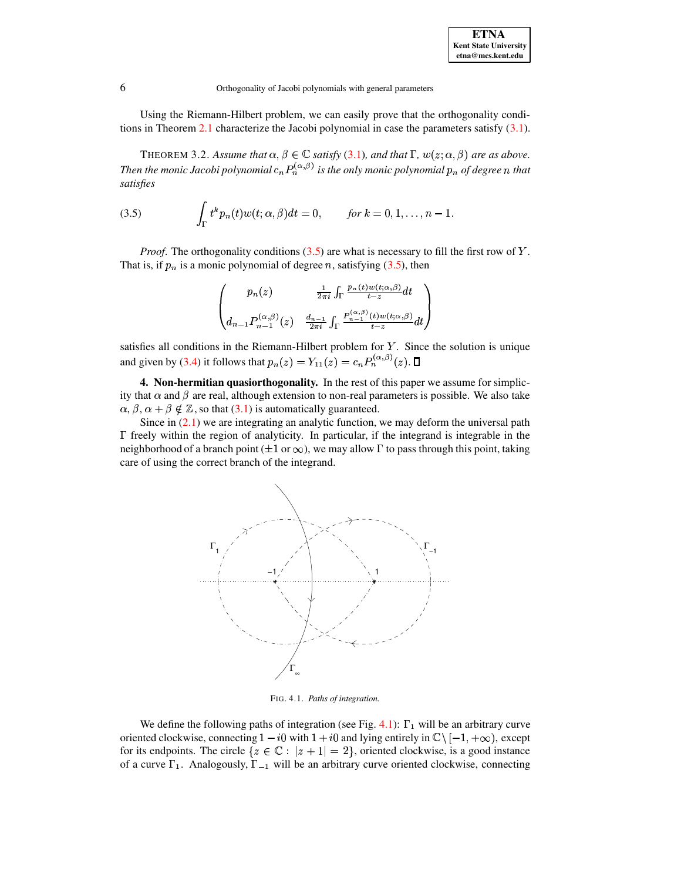Using the Riemann-Hilbert problem, we can easily prove that the orthogonality conditions in Theorem 2.1 characterize the Jacobi polynomial in case the parameters satisfy  $(3.1)$ .

<span id="page-5-1"></span><span id="page-5-0"></span>THEOREM 3.2. Assume that  $\alpha, \beta \in \mathbb{C}$  satisfy (3.1), and that  $\Gamma$ ,  $w(z; \alpha, \beta)$  are as above. Then the monic Jacobi polynomial  $c_n P_n^{(\alpha,\beta)}$  is the only monic polynomial  $p_n$  of degree n that satisfies

(3.5) 
$$
\int_{\Gamma} t^k p_n(t) w(t; \alpha, \beta) dt = 0, \quad \text{for } k = 0, 1, \dots, n-1.
$$

*Proof.* The orthogonality conditions  $(3.5)$  are what is necessary to fill the first row of Y. That is, if  $p_n$  is a monic polynomial of degree n, satisfying (3.5), then

$$
\begin{pmatrix} p_n(z) & \frac{1}{2\pi i} \int_{\Gamma} \frac{p_n(t) w(t; \alpha, \beta)}{t - z} dt \\ d_{n-1} P_{n-1}^{(\alpha, \beta)}(z) & \frac{d_{n-1}}{2\pi i} \int_{\Gamma} \frac{P_{n-1}^{(\alpha, \beta)}(t) w(t; \alpha, \beta)}{t - z} dt \end{pmatrix}
$$

satisfies all conditions in the Riemann-Hilbert problem for  $Y$ . Since the solution is unique and given by (3.4) it follows that  $p_n(z) = Y_{11}(z) = c_n P_n^{(\alpha,\beta)}(z)$ .  $\Box$ 

4. Non-hermitian quasiorthogonality. In the rest of this paper we assume for simplicity that  $\alpha$  and  $\beta$  are real, although extension to non-real parameters is possible. We also take  $\alpha$ ,  $\beta$ ,  $\alpha + \beta \notin \mathbb{Z}$ , so that (3.1) is automatically guaranteed.

Since in  $(2.1)$  we are integrating an analytic function, we may deform the universal path  $\Gamma$  freely within the region of analyticity. In particular, if the integrand is integrable in the neighborhood of a branch point  $(\pm 1 \text{ or } \infty)$ , we may allow  $\Gamma$  to pass through this point, taking care of using the correct branch of the integrand.



FIG. 4.1. Paths of integration.

We define the following paths of integration (see Fig. 4.1):  $\Gamma_1$  will be an arbitrary curve oriented clockwise, connecting  $1 - i0$  with  $1 + i0$  and lying entirely in  $\mathbb{C} \setminus [-1, +\infty)$ , except for its endpoints. The circle  $\{z \in \mathbb{C} : |z + 1| = 2\}$ , oriented clockwise, is a good instance of a curve  $\Gamma_1$ . Analogously,  $\Gamma_{-1}$  will be an arbitrary curve oriented clockwise, connecting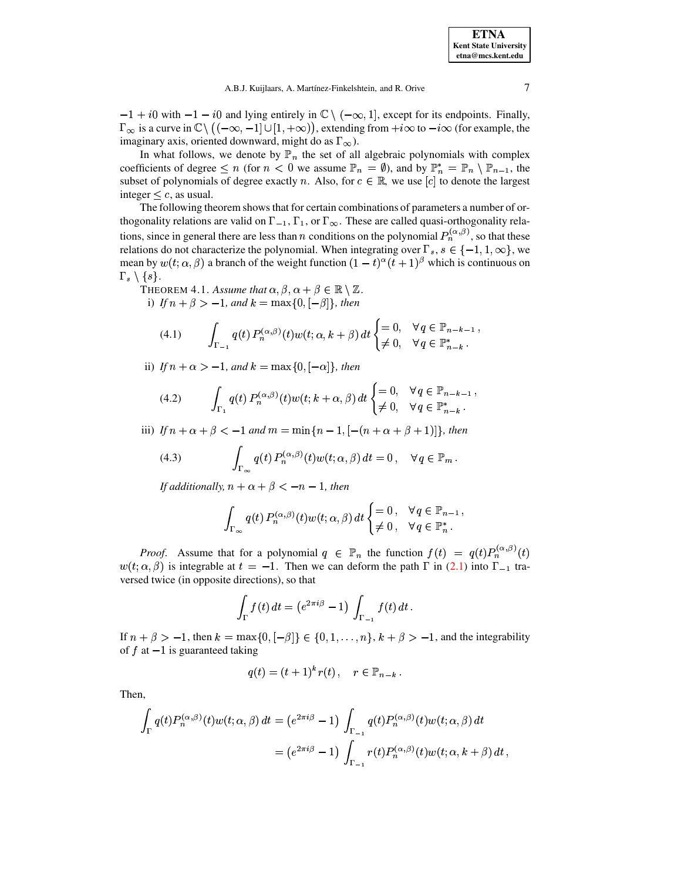$-1 + i0$  with  $-1 - i0$  and lying entirely in  $\mathbb{C} \setminus (-\infty, 1]$ , except for its endpoints. Finally,  $\Gamma_{\infty}$  is a curve in  $\mathbb{C}\setminus ((-\infty, -1] \cup [1, +\infty))$ , extending from  $+i\infty$  to  $-i\infty$  (for example, the imaginary axis, oriented downward, might do as  $\Gamma_{\infty}$ ).

In what follows, we denote by  $\mathbb{P}_n$  the set of all algebraic polynomials with complex coefficients of degree  $\leq n$  (for  $n < 0$  we assume  $\mathbb{P}_n = \emptyset$ ), and by  $\mathbb{P}_n^* = \mathbb{P}_n \setminus \mathbb{P}_{n-1}$ , the subset of polynomials of degree exactly n. Also, for  $c \in \mathbb{R}$ , we use [c] to denote the largest integer  $\leq c$ , as usual.

The following theorem shows that for certain combinations of parameters a number of orthogonality relations are valid on  $\Gamma_{-1}$ ,  $\Gamma_1$ , or  $\Gamma_{\infty}$ . These are called quasi-orthogonality relations, since in general there are less than *n* conditions on the polynomial  $P_n^{(\alpha,\beta)}$ , so that these relations do not characterize the polynomial. When integrating over  $\Gamma_s$ ,  $s \in \{-1, 1, \infty\}$ , we mean by  $w(t; \alpha, \beta)$  a branch of the weight function  $(1-t)^{\alpha}(t+1)^{\beta}$  which is continuous on  $\Gamma_s \setminus \{s\}.$ 

<span id="page-6-3"></span>THEOREM 4.1. Assume that  $\alpha, \beta, \alpha + \beta \in \mathbb{R} \setminus \mathbb{Z}$ . i) If  $n + \beta > -1$ , and  $k = \max\{0, [-\beta]\}\$ , then

<span id="page-6-0"></span>
$$
(4.1) \qquad \int_{\Gamma_{-1}} q(t) \, P_n^{(\alpha,\beta)}(t) w(t; \alpha, k+\beta) \, dt \begin{cases} = 0, & \forall \, q \in \mathbb{P}_{n-k-1} \\ \neq 0, & \forall \, q \in \mathbb{P}_{n-k}^* \end{cases}
$$

ii) If  $n + \alpha > -1$ , and  $k = \max\{0, -\alpha\}$ , then

<span id="page-6-1"></span>(4.2) 
$$
\int_{\Gamma_1} q(t) P_n^{(\alpha,\beta)}(t) w(t; k + \alpha, \beta) dt \begin{cases} = 0, & \forall q \in \mathbb{P}_{n-k-1}, \\ \neq 0, & \forall q \in \mathbb{P}_{n-k}^*.\end{cases}
$$

iii) If  $n + \alpha + \beta < -1$  and  $m = \min\{n - 1, [-(n + \alpha + \beta + 1)]\}$ , then

(4.3) 
$$
\int_{\Gamma_{\infty}} q(t) P_n^{(\alpha,\beta)}(t) w(t; \alpha, \beta) dt = 0, \quad \forall q \in \mathbb{P}_m.
$$

If additionally,  $n + \alpha + \beta < -n - 1$ , then

<span id="page-6-2"></span>
$$
\int_{\Gamma_{\infty}} q(t) P_n^{(\alpha,\beta)}(t) w(t; \alpha, \beta) dt \begin{cases} = 0, & \forall q \in \mathbb{P}_{n-1}, \\ \neq 0, & \forall q \in \mathbb{P}_n^*. \end{cases}
$$

*Proof.* Assume that for a polynomial  $q \in \mathbb{P}_n$  the function  $f(t) = q(t)P_n^{(\alpha,\beta)}(t)$  $w(t; \alpha, \beta)$  is integrable at  $t = -1$ . Then we can deform the path  $\Gamma$  in (2.1) into  $\Gamma_{-1}$  traversed twice (in opposite directions), so that

$$
\int_{\Gamma} f(t) dt = \left(e^{2\pi i \beta} - 1\right) \int_{\Gamma_{-1}} f(t) dt.
$$

If  $n + \beta > -1$ , then  $k = \max\{0, [-\beta]\}\in \{0, 1, \ldots, n\}, k + \beta > -1$ , and the integrability of  $f$  at  $-1$  is guaranteed taking

$$
q(t) = (t+1)^k r(t), \quad r \in \mathbb{P}_{n-k}.
$$

Then,

$$
\int_{\Gamma} q(t) P_n^{(\alpha,\beta)}(t) w(t; \alpha, \beta) dt = (e^{2\pi i \beta} - 1) \int_{\Gamma_{-1}} q(t) P_n^{(\alpha,\beta)}(t) w(t; \alpha, \beta) dt
$$
  

$$
= (e^{2\pi i \beta} - 1) \int_{\Gamma_{-1}} r(t) P_n^{(\alpha,\beta)}(t) w(t; \alpha, k + \beta) dt,
$$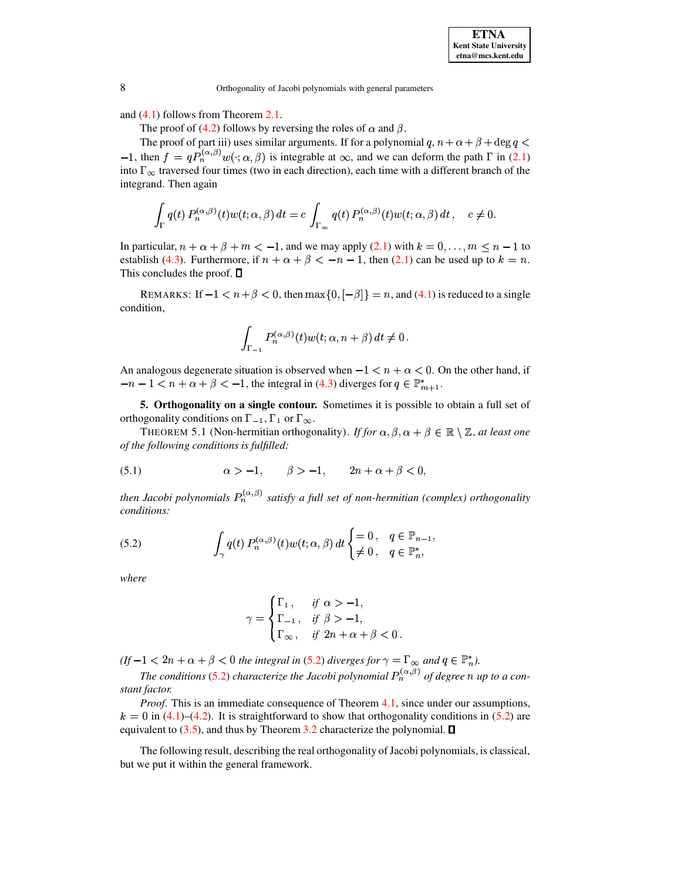and [\(4.1\)](#page-6-0) follows from Theorem [2.1.](#page-2-3)

The proof of [\(4.2\)](#page-6-1) follows by reversing the roles of  $\alpha$  and  $\beta$ .

The proof of part iii) uses similar arguments. If for a polynomial  $q, n + \alpha + \beta + \deg q <$ The proof of part iii) uses similar arguments. If for a polynomial  $q, n + \alpha + \beta + \deg q < -1$ , then  $f = qP_n^{(\alpha,\beta)}w(\cdot; \alpha, \beta)$  is integrable at  $\infty$ , and we can deform the path  $\Gamma$  in [\(2.1\)](#page-2-0) into  $\Gamma_{\infty}$  traversed four times (two in each direction), each time with a different branch of the integrand. Then again

$$
\int_{\Gamma} q(t) P_n^{(\alpha,\beta)}(t) w(t;\alpha,\beta) dt = c \int_{\Gamma_{\infty}} q(t) P_n^{(\alpha,\beta)}(t) w(t;\alpha,\beta) dt, \quad c \neq 0.
$$

In particular,  $n + \alpha + \beta + m < -1$ , and we may apply [\(2.1\)](#page-2-0) with  $k = 0, \ldots, m \leq n - 1$  to establish [\(4.3\)](#page-6-2). Furthermore, if  $n + \alpha + \beta < -n - 1$ , then [\(2.1\)](#page-2-0) can be used up to  $k = n$ . This concludes the proof.  $\square$ 

REMARKS: If  $-1 < n + \beta < 0$ , then  $\max\{0, \lfloor -\beta \rfloor\} = n$ , and [\(4.1\)](#page-6-0) is reduced to a single condition,

$$
\int_{\Gamma_{-1}} P_n^{(\alpha,\beta)}(t) w(t;\alpha,n+\beta)\,dt \neq 0\,.
$$

An analogous degenerate situation is observed when  $-1 < n + \alpha < 0$ . On the other hand, if  $-n-1 < n + \alpha + \beta < -1$ , the integral in [\(4.3\)](#page-6-2) diverges for  $q \in \mathbb{P}_{m+1}^*$ . -

**5. Orthogonality on a single contour.** Sometimes it is possible to obtain a full set of orthogonality conditions on  $\Gamma_{-1}$ ,  $\Gamma_1$  or  $\Gamma_{\infty}$ .

<span id="page-7-2"></span><span id="page-7-1"></span>THEOREM 5.1 (Non-hermitian orthogonality). *If for*  $\alpha, \beta, \alpha + \beta \in \mathbb{R} \setminus \mathbb{Z}$ , *at least one of the following conditions is fulfilled:*

$$
(5.1) \qquad \alpha > -1, \qquad \beta > -1, \qquad 2n + \alpha + \beta < 0,
$$

<span id="page-7-0"></span>*then Jacobi polynomials satisfy a full set of non-hermitian (complex) orthogonality conditions:*

(5.2) 
$$
\int_{\gamma} q(t) P_n^{(\alpha,\beta)}(t) w(t; \alpha, \beta) dt \begin{cases} = 0, & q \in \mathbb{P}_{n-1}, \\ \neq 0, & q \in \mathbb{P}_n^*, \end{cases}
$$

*where*

$$
\gamma = \begin{cases} \Gamma_1, & \text{if } \alpha > -1, \\ \Gamma_{-1}, & \text{if } \beta > -1, \\ \Gamma_{\infty}, & \text{if } 2n + \alpha + \beta < 0. \end{cases}
$$

 $(f-1 < 2n + \alpha + \beta < 0$  *the integral in* [\(5.2\)](#page-7-0) *diverges for*  $\gamma = \Gamma_{\infty}$  *and*  $q \in \mathbb{P}_{n}^{*}$ *).* 

 $1 < 2n + \alpha + \beta < 0$  the integral in [\(5.2\)](#page-7-0) diverges for  $\gamma = \Gamma_{\infty}$  and  $q \in \mathbb{P}_n^*$ ).<br>The conditions (5.2) characterize the Jacobi polynomial  $P_n^{(\alpha,\beta)}$  of degree *n* up to a con*stant factor.*

*Proof*. This is an immediate consequence of Theorem [4.1,](#page-6-3) since under our assumptions,  $k = 0$  in [\(4.1\)](#page-6-0)–[\(4.2\)](#page-6-1). It is straightforward to show that orthogonality conditions in [\(5.2\)](#page-7-0) are equivalent to [\(3.5\)](#page-5-0), and thus by Theorem [3.2](#page-5-1) characterize the polynomial.  $\square$ 

The following result, describing the real orthogonality of Jacobi polynomials, is classical, but we put it within the general framework.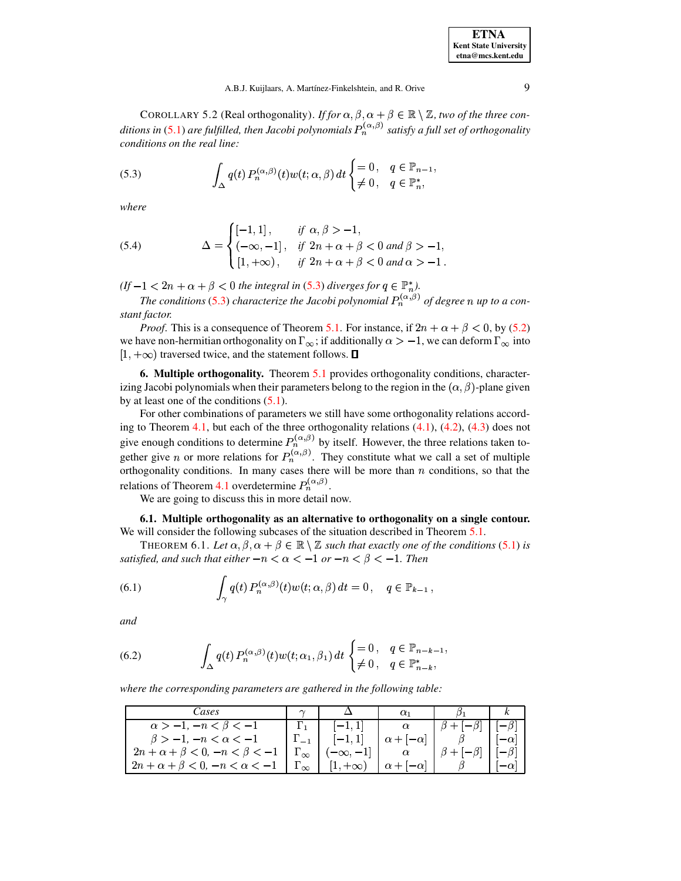COROLLARY 5.2 (Real orthogonality). *If for*  $\alpha$ ,  $\beta$ ,  $\alpha + \beta \in \mathbb{R} \setminus \mathbb{Z}$ , *two of the three conditions in* [\(5.1\)](#page-7-1) *are fulfilled, then Jacobi polynomials* ! *satisfy a full set of orthogonality conditions on the real line:*

<span id="page-8-0"></span>(5.3) 
$$
\int_{\Delta} q(t) P_n^{(\alpha,\beta)}(t) w(t; \alpha, \beta) dt \begin{cases} = 0, & q \in \mathbb{P}_{n-1}, \\ \neq 0, & q \in \mathbb{P}_n^*, \end{cases}
$$

<span id="page-8-3"></span>*where*

(5.4) 
$$
\Delta = \begin{cases} [-1,1], & \text{if } \alpha, \beta > -1, \\ (-\infty,-1], & \text{if } 2n + \alpha + \beta < 0 \text{ and } \beta > -1, \\ [1,+\infty), & \text{if } 2n + \alpha + \beta < 0 \text{ and } \alpha > -1. \end{cases}
$$

 $(f - 1 < 2n + \alpha + \beta < 0$  *the integral in* [\(5.3\)](#page-8-0) *diverges for*  $q \in \mathbb{P}_n^*$ .

 

 $1 < 2n + \alpha + \beta < 0$  the integral in [\(5.3\)](#page-8-0) diverges for  $q \in \mathbb{P}_n^*$ ).<br>The conditions (5.3) characterize the Jacobi polynomial  $P_n^{(\alpha,\beta)}$  of degree *n* up to a con*stant factor.*

*Proof.* This is a consequence of Theorem [5.1.](#page-7-2) For instance, if  $2n + \alpha + \beta < 0$ , by [\(5.2\)](#page-7-0) we have non-hermitian orthogonality on  $\Gamma_{\infty}$ ; if additionally  $\alpha > -1$ , we can deform  $\Gamma_{\infty}$  into  $[1, +\infty)$  traversed twice, and the statement follows.  $\square$ 

**6. Multiple orthogonality.** Theorem [5.1](#page-7-2) provides orthogonality conditions, characterizing Jacobi polynomials when their parameters belong to the region in the  $(\alpha, \beta)$ -plane given by at least one of the conditions [\(5.1\)](#page-7-1).

For other combinations of parameters we still have some orthogonality relations accord-ing to Theorem [4.1,](#page-6-3) but each of the three orthogonality relations  $(4.1)$ ,  $(4.2)$ ,  $(4.3)$  does not give enough conditions to determine  $P_n^{(\alpha,\beta)}$  by itself. However, the three relations taken together give *n* or more relations for  $P_n^{(\alpha,\beta)}$ . They constitute what we call a set of multiple orthogonality conditions. In many cases there will be more than  $n$  conditions, so that the relations of Theorem [4.1](#page-6-3) overdetermine  $P_n^{(\alpha,\beta)}$ .

We are going to discuss this in more detail now.

**6.1. Multiple orthogonality as an alternative to orthogonality on a single contour.** We will consider the following subcases of the situation described in Theorem [5.1.](#page-7-2)

<span id="page-8-4"></span>THEOREM 6.1. Let  $\alpha, \beta, \alpha + \beta \in \mathbb{R} \setminus \mathbb{Z}$  such that exactly one of the conditions [\(5.1\)](#page-7-1) is *satisfied, and such that either*  $-n < \alpha < -1$  *or*  $-n < \beta < -1$ . Then

<span id="page-8-2"></span>(6.1) 
$$
\int_{\gamma} q(t) P_n^{(\alpha,\beta)}(t) w(t; \alpha, \beta) dt = 0, \quad q \in \mathbb{P}_{k-1},
$$

*and*

<span id="page-8-1"></span>(6.2) 
$$
\int_{\Delta} q(t) P_n^{(\alpha,\beta)}(t) w(t; \alpha_1, \beta_1) dt \begin{cases} = 0, & q \in \mathbb{P}_{n-k-1}, \\ \neq 0, & q \in \mathbb{P}_{n-k}^*, \end{cases}
$$

*where the corresponding parameters are gathered in the following table:*

| Cases                                       |                        |                 |                      |             |
|---------------------------------------------|------------------------|-----------------|----------------------|-------------|
| $\alpha > -1, -n < \beta < -1$              |                        |                 |                      | $ \beta$ ]  |
| $\beta > -1, -n < \alpha < -1$              |                        | $[-1, 1]$       | $\alpha +  -\alpha $ | $-\alpha$   |
| $2n + \alpha + \beta < 0, -n < \beta < -1$  | $\frac{1}{2}$ $\infty$ | $[-\infty, -1]$ |                      |             |
| $2n + \alpha + \beta < 0, -n < \alpha < -1$ | $\sim$                 | $1, +\infty$ ,  | $-1-\alpha$   $-$    | $-\alpha_1$ |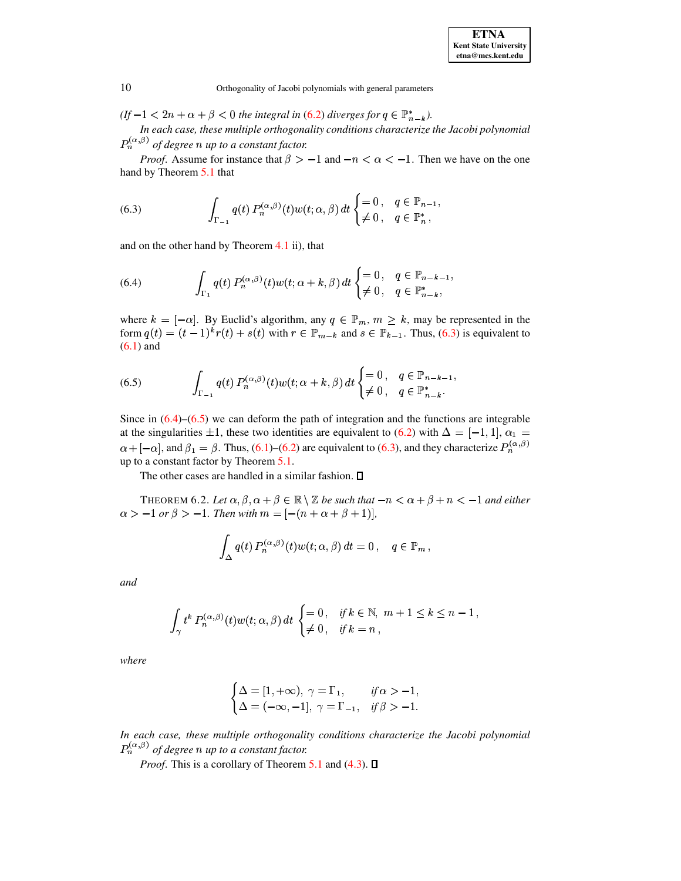$(f-1 < 2n + \alpha + \beta < 0$  the integral in (6.2) diverges for  $q \in \mathbb{P}_{n-k}^*$ ).

In each case, these multiple orthogonality conditions characterize the Jacobi polynomial  $P_n^{(\alpha,\beta)}$  of degree n up to a constant factor.

<span id="page-9-0"></span>*Proof.* Assume for instance that  $\beta > -1$  and  $-n < \alpha < -1$ . Then we have on the one hand by Theorem 5.1 that

(6.3) 
$$
\int_{\Gamma_{-1}} q(t) P_n^{(\alpha,\beta)}(t) w(t; \alpha, \beta) dt \begin{cases} = 0, & q \in \mathbb{P}_{n-1} \\ \neq 0, & q \in \mathbb{P}_n^*, \end{cases}
$$

<span id="page-9-1"></span>and on the other hand by Theorem  $4.1$  ii), that

(6.4) 
$$
\int_{\Gamma_1} q(t) P_n^{(\alpha,\beta)}(t) w(t; \alpha + k, \beta) dt \begin{cases} = 0, & q \in \mathbb{P}_{n-k-1}, \\ \neq 0, & q \in \mathbb{P}_{n-k}^*, \end{cases}
$$

<span id="page-9-2"></span>where  $k = [-\alpha]$ . By Euclid's algorithm, any  $q \in \mathbb{P}_m$ ,  $m \geq k$ , may be represented in the form  $q(t) = (t-1)^{k}r(t) + s(t)$  with  $r \in \mathbb{P}_{m-k}$  and  $s \in \mathbb{P}_{k-1}$ . Thus, (6.3) is equivalent to  $(6.1)$  and

(6.5) 
$$
\int_{\Gamma_{-1}} q(t) P_n^{(\alpha,\beta)}(t) w(t; \alpha + k, \beta) dt \begin{cases} = 0, & q \in \mathbb{P}_{n-k-1}, \\ \neq 0, & q \in \mathbb{P}_{n-k}^* \end{cases}
$$

Since in  $(6.4)$ – $(6.5)$  we can deform the path of integration and the functions are integrable at the singularities  $\pm 1$ , these two identities are equivalent to (6.2) with  $\Delta = [-1, 1], \alpha_1 =$  $\alpha + [-\alpha]$ , and  $\beta_1 = \beta$ . Thus, (6.1)–(6.2) are equivalent to (6.3), and they characterize  $P_n^{(\alpha,\beta)}$ up to a constant factor by Theorem 5.1.

The other cases are handled in a similar fashion.  $\square$ 

THEOREM 6.2. Let  $\alpha, \beta, \alpha + \beta \in \mathbb{R} \setminus \mathbb{Z}$  be such that  $-n < \alpha + \beta + n < -1$  and either  $\alpha > -1$  or  $\beta > -1$ . Then with  $m = [-(n + \alpha + \beta + 1)],$ 

$$
\int_{\Delta} q(t) P_n^{(\alpha,\beta)}(t) w(t; \alpha, \beta) dt = 0, \quad q \in \mathbb{P}_m,
$$

and

$$
\int_{\gamma} t^k P_n^{(\alpha,\beta)}(t) w(t; \alpha, \beta) dt \begin{cases} = 0 \,, & \text{if } k \in \mathbb{N}, \ m+1 \le k \le n-1 \,, \\ \neq 0 \,, & \text{if } k = n \,, \end{cases}
$$

where

$$
\begin{cases} \Delta = [1, +\infty), \ \gamma = \Gamma_1, & \text{if } \alpha > -1, \\ \Delta = (-\infty, -1], \ \gamma = \Gamma_{-1}, & \text{if } \beta > -1. \end{cases}
$$

In each case, these multiple orthogonality conditions characterize the Jacobi polynomial  $P_n^{(\alpha,\beta)}$  of degree n up to a constant factor.

*Proof.* This is a corollary of Theorem 5.1 and (4.3).  $\Box$ 

10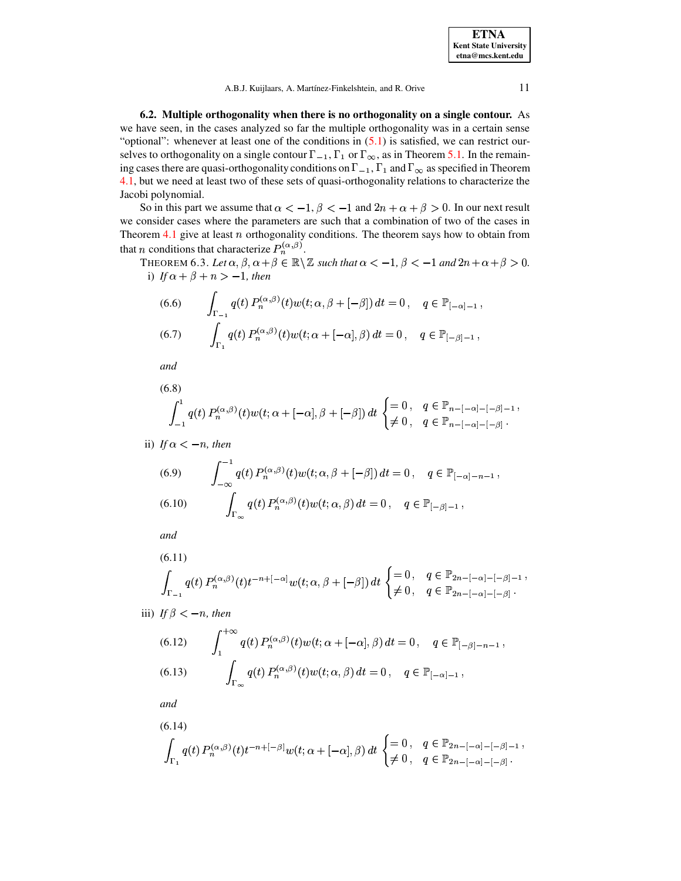**ETNA Kent State University**  $etna@mcs. kent.edu$ 

A.B.J. Kuijlaars, A. Martínez-Finkelshtein, and R. Orive

11

6.2. Multiple orthogonality when there is no orthogonality on a single contour. As we have seen, in the cases analyzed so far the multiple orthogonality was in a certain sense "optional": whenever at least one of the conditions in  $(5.1)$  is satisfied, we can restrict ourselves to orthogonality on a single contour  $\Gamma_{-1}$ ,  $\Gamma_1$  or  $\Gamma_{\infty}$ , as in Theorem 5.1. In the remaining cases there are quasi-orthogonality conditions on  $\Gamma_{-1}$ ,  $\Gamma_1$  and  $\Gamma_{\infty}$  as specified in Theorem 4.1, but we need at least two of these sets of quasi-orthogonality relations to characterize the Jacobi polynomial.

<span id="page-10-3"></span>So in this part we assume that  $\alpha < -1$ ,  $\beta < -1$  and  $2n + \alpha + \beta > 0$ . In our next result we consider cases where the parameters are such that a combination of two of the cases in Theorem  $4.1$  give at least  $n$  orthogonality conditions. The theorem says how to obtain from that *n* conditions that characterize  $P_n^{(\alpha,\beta)}$ .

<span id="page-10-0"></span>THEOREM 6.3. Let  $\alpha, \beta, \alpha + \beta \in \mathbb{R} \setminus \mathbb{Z}$  such that  $\alpha < -1$ ,  $\beta < -1$  and  $2n + \alpha + \beta > 0$ . i) If  $\alpha + \beta + n > -1$ , then

<span id="page-10-1"></span>(6.6) 
$$
\int_{\Gamma_{-1}} q(t) P_n^{(\alpha,\beta)}(t) w(t; \alpha, \beta + [-\beta]) dt = 0, \quad q \in \mathbb{P}_{[-\alpha]-1},
$$
  
(6.7) 
$$
\int_{\Gamma_1} q(t) P_n^{(\alpha,\beta)}(t) w(t; \alpha + [-\alpha], \beta) dt = 0, \quad q \in \mathbb{P}_{[-\beta]-1},
$$

and

<span id="page-10-2"></span>(6.8)  

$$
\int_{-1}^{1} q(t) P_n^{(\alpha,\beta)}(t) w(t; \alpha + [-\alpha], \beta + [-\beta]) dt \begin{cases} = 0, & q \in \mathbb{P}_{n - [-\alpha] - [-\beta] - 1}, \\ \neq 0, & q \in \mathbb{P}_{n - [-\alpha] - [-\beta]} .\end{cases}
$$

ii) If 
$$
\alpha < -n
$$
, then

(6.9) 
$$
\int_{-\infty}^{-1} q(t) P_n^{(\alpha,\beta)}(t) w(t; \alpha, \beta + [-\beta]) dt = 0, \quad q \in \mathbb{P}_{[-\alpha]-n-1},
$$
  
(6.10) 
$$
\int_{\Gamma_{\infty}} q(t) P_n^{(\alpha,\beta)}(t) w(t; \alpha, \beta) dt = 0, \quad q \in \mathbb{P}_{[-\beta]-1},
$$

and

$$
\int_{\Gamma_{-1}} q(t) P_n^{(\alpha,\beta)}(t) t^{-n+[-\alpha]} w(t; \alpha, \beta + [-\beta]) dt \begin{cases} = 0, & q \in \mathbb{P}_{2n - [-\alpha] - [-\beta] - 1} \\ \neq 0, & q \in \mathbb{P}_{2n - [-\alpha] - [-\beta]} \end{cases}
$$

iii) If  $\beta < -n$ , then

(6.12) 
$$
\int_{1}^{+\infty} q(t) P_n^{(\alpha,\beta)}(t) w(t; \alpha + [-\alpha], \beta) dt = 0, \quad q \in \mathbb{P}_{[-\beta]-n-1},
$$
  
(6.13) 
$$
\int_{\Gamma_{\infty}} q(t) P_n^{(\alpha,\beta)}(t) w(t; \alpha, \beta) dt = 0, \quad q \in \mathbb{P}_{[-\alpha]-1},
$$

and

$$
(6.14)
$$
  

$$
\int_{\Gamma_1} q(t) P_n^{(\alpha,\beta)}(t) t^{-n+[-\beta]} w(t; \alpha + [-\alpha], \beta) dt \begin{cases} = 0, & q \in \mathbb{P}_{2n - [-\alpha] - [-\beta] - 1}, \\ \neq 0, & q \in \mathbb{P}_{2n - [-\alpha] - [-\beta]} .\end{cases}
$$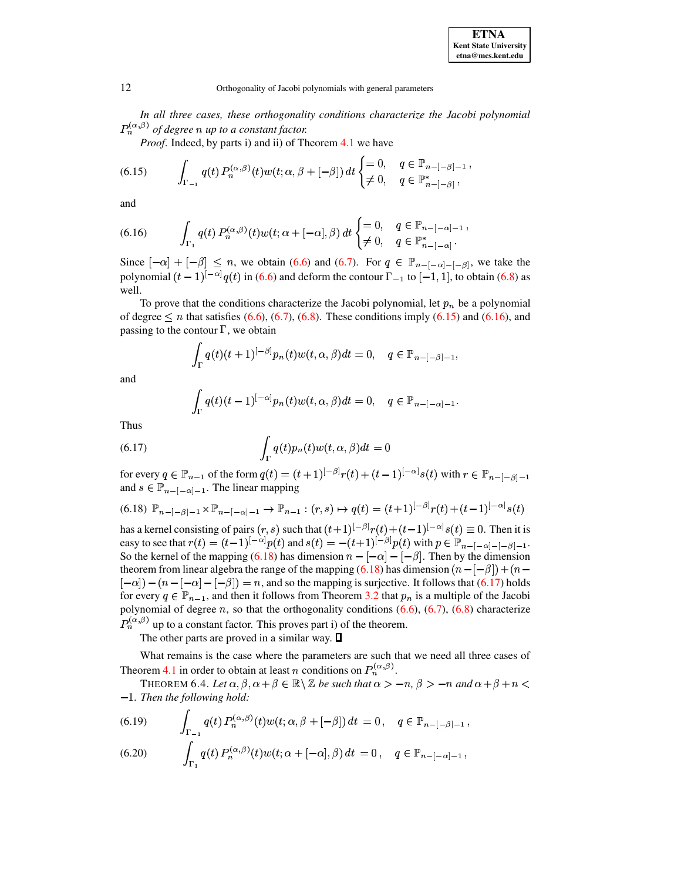In all three cases, these orthogonality conditions characterize the Jacobi polynomial  $P_n^{(\alpha,\beta)}$  of degree n up to a constant factor.

*Proof.* Indeed, by parts i) and ii) of Theorem 4.1 we have

<span id="page-11-0"></span>(6.15) 
$$
\int_{\Gamma_{-1}} q(t) P_n^{(\alpha,\beta)}(t) w(t; \alpha, \beta + [-\beta]) dt \begin{cases} = 0, & q \in \mathbb{P}_{n - [-\beta] - 1}, \\ \neq 0, & q \in \mathbb{P}_{n - [-\beta]}^* \end{cases}
$$

and

<span id="page-11-1"></span>(6.16) 
$$
\int_{\Gamma_1} q(t) P_n^{(\alpha,\beta)}(t) w(t; \alpha + [-\alpha], \beta) dt \begin{cases} = 0, & q \in \mathbb{P}_{n-[-\alpha]-1} \\ \neq 0, & q \in \mathbb{P}_{n-[-\alpha]}^* \end{cases}
$$

Since  $[-\alpha] + [-\beta] \leq n$ , we obtain (6.6) and (6.7). For  $q \in \mathbb{P}_{n-[-\alpha]-[-\beta]}$ , we take the polynomial  $(t-1)^{[-\alpha]}q(t)$  in (6.6) and deform the contour  $\Gamma_{-1}$  to  $[-1,1]$ , to obtain (6.8) as well.

To prove that the conditions characterize the Jacobi polynomial, let  $p_n$  be a polynomial of degree  $\leq n$  that satisfies (6.6), (6.7), (6.8). These conditions imply (6.15) and (6.16), and passing to the contour  $\Gamma$ , we obtain

$$
\int_{\Gamma} q(t)(t+1)^{[-\beta]} p_n(t) w(t,\alpha,\beta) dt = 0, \quad q \in \mathbb{P}_{n-[-\beta]-1},
$$

and

<span id="page-11-2"></span>
$$
\int_{\Gamma} q(t)(t-1)^{[-\alpha]} p_n(t) w(t,\alpha,\beta) dt = 0, \quad q \in \mathbb{P}_{n-[-\alpha]-1}.
$$

<span id="page-11-3"></span>Thus

(6.17) 
$$
\int_{\Gamma} q(t) p_n(t) w(t, \alpha, \beta) dt = 0
$$

for every  $q \in \mathbb{P}_{n-1}$  of the form  $q(t) = (t+1)^{[-\beta]}r(t) + (t-1)^{[-\alpha]}s(t)$  with  $r \in \mathbb{P}_{n-[-\beta]-1}$ and  $s \in \mathbb{P}_{n-[-\alpha]-1}$ . The linear mapping

$$
(6.18) \mathbb{P}_{n-[-\beta]-1} \times \mathbb{P}_{n-[-\alpha]-1} \to \mathbb{P}_{n-1} : (r,s) \mapsto q(t) = (t+1)^{[-\beta]} r(t) + (t-1)^{[-\alpha]} s(t)
$$

has a kernel consisting of pairs  $(r, s)$  such that  $(t+1)^{[-\beta]}r(t)+(t-1)^{[-\alpha]}s(t) \equiv 0$ . Then it is easy to see that  $r(t) = (t-1)^{-\alpha} p(t)$  and  $s(t) = -(t+1)^{-\beta} p(t)$  with  $p \in \mathbb{P}_{n-[-\alpha]-[-\beta]-1}$ . So the kernel of the mapping (6.18) has dimension  $n - [-\alpha] - [-\beta]$ . Then by the dimension theorem from linear algebra the range of the mapping (6.18) has dimension  $(n-[-\beta]) + (n [-\alpha] - (n - [-\alpha] - [-\beta]) = n$ , and so the mapping is surjective. It follows that (6.17) holds for every  $q \in \mathbb{P}_{n-1}$ , and then it follows from Theorem 3.2 that  $p_n$  is a multiple of the Jacobi polynomial of degree  $n$ , so that the orthogonality conditions  $(6.6)$ ,  $(6.7)$ ,  $(6.8)$  characterize  $P_n^{(\alpha,\beta)}$  up to a constant factor. This proves part i) of the theorem.

The other parts are proved in a similar way.  $\Box$ 

What remains is the case where the parameters are such that we need all three cases of Theorem 4.1 in order to obtain at least *n* conditions on  $P_n^{(\alpha,\beta)}$ .

<span id="page-11-5"></span>THEOREM 6.4. Let  $\alpha, \beta, \alpha + \beta \in \mathbb{R} \setminus \mathbb{Z}$  be such that  $\alpha > -n$ ,  $\beta > -n$  and  $\alpha + \beta + n <$  $-1$ . Then the following hold:

<span id="page-11-4"></span>(6.19) 
$$
\int_{\Gamma_{-1}} q(t) P_n^{(\alpha,\beta)}(t) w(t; \alpha, \beta + [-\beta]) dt = 0, \quad q \in \mathbb{P}_{n - [-\beta] - 1},
$$

(6.20) 
$$
\int_{\Gamma_1} q(t) P_n^{(\alpha,\beta)}(t) w(t; \alpha + [-\alpha], \beta) dt = 0, \quad q \in \mathbb{P}_{n-[-\alpha]-1},
$$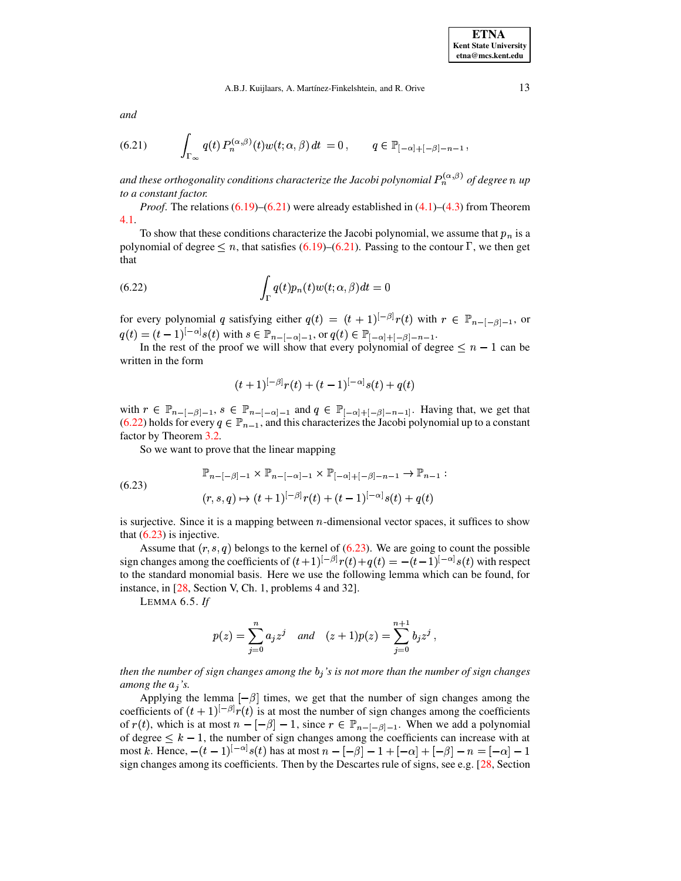*and*

<span id="page-12-0"></span>(6.21) 
$$
\int_{\Gamma_{\infty}} q(t) P_n^{(\alpha,\beta)}(t) w(t; \alpha, \beta) dt = 0, \qquad q \in \mathbb{P}_{[-\alpha]+[-\beta]-n-1},
$$

and these orthogonality conditions characterize the Jacobi polynomial  $P_n^{(\alpha,\beta)}$  of degree  $n$  up *to a constant factor.*

*Proof.* The relations  $(6.19)$ – $(6.21)$  were already established in  $(4.1)$ – $(4.3)$  from Theorem [4.1.](#page-6-3)

To show that these conditions characterize the Jacobi polynomial, we assume that  $p_n$  is a polynomial of degree  $\leq n$ , that satisfies [\(6.19\)](#page-11-4)–[\(6.21\)](#page-12-0). Passing to the contour  $\Gamma$ , we then get that

<span id="page-12-1"></span>(6.22) 
$$
\int_{\Gamma} q(t) p_n(t) w(t; \alpha, \beta) dt = 0
$$

for every polynomial q satisfying either  $q(t) = (t + 1)^{|-\beta|} r(t)$  with  $u(t) = (t-1)^{[-\alpha]} s(t)$  with  $s \in \mathbb{P}_{n-[-\alpha]-1}$ , or  $q(t)$  ${}^{\beta]}\!r(t)$  with  $r \in \mathbb{P}_{n-[-\beta]-1}$ , or  ${}^{\alpha]}\!s(t)$  with  $s\in \mathbb{P}_{n-[-\alpha]-1},$  or  $q(t)\in \mathbb{P}_{[-\alpha]+[-\beta]-n-1}.$ 

In the rest of the proof we will show that every polynomial of degree  $\leq n-1$  can be written in the form

<span id="page-12-2"></span>
$$
(t+1)^{[-\beta]}r(t) + (t-1)^{[-\alpha]}s(t) + q(t)
$$

with  $r \in \mathbb{P}_{n-[-\beta]-1}, s \in \mathbb{P}_{n-[-\alpha]-1}$  and  $q \in \mathbb{P}_{[-\alpha]+[-\beta]-n-1]}$ . Having that, we get that (6.22) holds for every  $q \in \mathbb{P}_{n-1}$ , and this characterizes the Jacobi polynomial up to a constant [\(6.22\)](#page-12-1) holds for every  $q \in \mathbb{P}_{n-1}$ , and this characterizes the Jacobi polynomial up to a constant factor by Theorem 3.2. factor by Theorem [3.2.](#page-5-1)

So we want to prove that the linear mapping

(6.23) 
$$
\mathbb{P}_{n-[-\beta]-1} \times \mathbb{P}_{n-[-\alpha]-1} \times \mathbb{P}_{[-\alpha]+[-\beta]-n-1} \to \mathbb{P}_{n-1} :
$$

$$
(r, s, q) \mapsto (t+1)^{[-\beta]}r(t) + (t-1)^{[-\alpha]}s(t) + q(t)
$$

is surjective. Since it is a mapping between *n*-dimensional vector spaces, it suffices to show that  $(6.23)$  is injective.

Assume that  $(r, s, q)$  bel . . . . . . . .  $(q)$  belongs to the kernel of [\(6.23\)](#page-12-2). We are going to count the possible sign changes among the coefficients of  $(t+1)^{\lfloor -\beta \rfloor} r(t) + q(t)$  ${}^{\beta}|r(t)+q(t) = -(t-1)^{[-\alpha]}s(t)$  with to the standard monomial basis. Here we use the following lemma which can be found, for  $\alpha$ <sup>1</sup> $s(t)$  with respect instance, in [\[28,](#page-16-13) Section V, Ch. 1, problems 4 and 32].

LEMMA 6.5. *If*

$$
p(z) = \sum_{j=0}^{n} a_j z^j
$$
 and  $(z+1)p(z) = \sum_{j=0}^{n+1} b_j z^j$ ,

*then the number of sign changes among the* £ *'s is not more than the number of sign changes among the*  $a_j$ 's.

Applying the lemma  $[-\beta]$  times, we get that the number of sign changes among the coefficients of  $(t + 1)^{|-\beta|}r(t)$  is a  ${}^{\beta}$   $r(t)$  is at most the number of sign changes among the coefficients of  $r(t)$ , which is at most  $n - [-\beta] - 1$ , since  $r \in \mathbb{P}_{n - [-\beta] - 1}$ . When we add a polynomial of degree  $\leq k-1$ , the number of sign changes among the coefficients can increase with at most k. Hence,  $-(t-1)^{[-\alpha]}s(t)$  has  $\alpha |_{\mathcal{S}}(t)$  has at most  $n-[-\beta]-1+[-\alpha]+[-\beta]-n=[-\alpha]-1$ sign changes among its coefficients. Then by the Descartes rule of signs, see e.g. [\[28,](#page-16-13) Section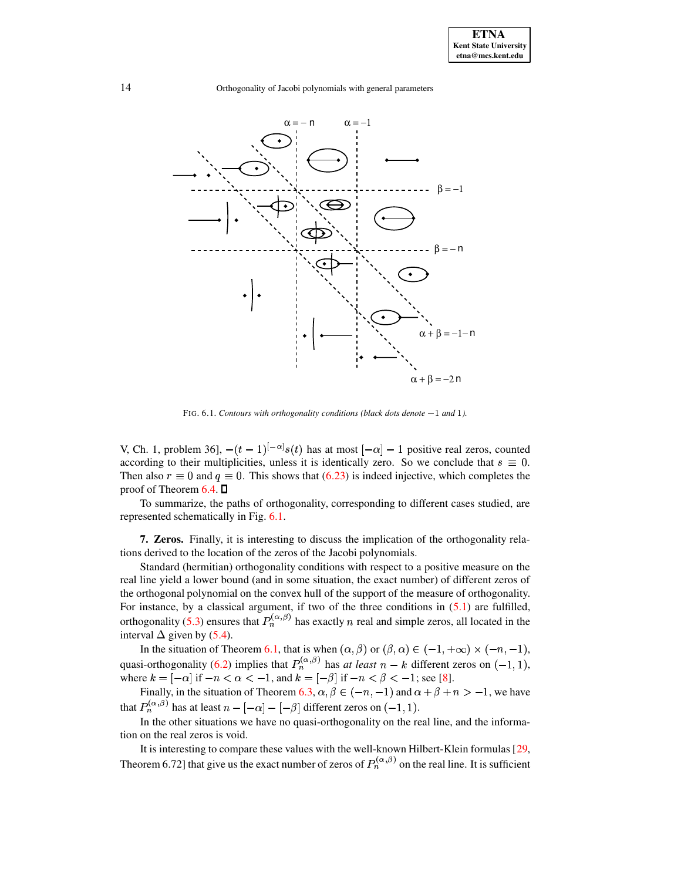

FIG. 6.1. *Contours with orthogonality conditions (black dots denote and ).*

V, Ch. 1, problem 36],  $-(t-1)^{|-\alpha|} s(t)$  has  $\alpha |_{s(t)}$  has at most  $[-\alpha] - 1$  positive real zeros, counted according to their multiplicities, unless it is identically zero. So we conclude that  $s \equiv 0$ . Then also  $r \equiv 0$  and  $q \equiv 0$ . This shows that [\(6.23\)](#page-12-2) is indeed injective, which completes the proof of Theorem 6.4.  $\Box$ proof of Theorem  $6.4.$   $\square$ 

To summarize, the paths of orthogonality, corresponding to different cases studied, are represented schematically in Fig. [6.1.](#page-15-4)

**7. Zeros.** Finally, it is interesting to discuss the implication of the orthogonality relations derived to the location of the zeros of the Jacobi polynomials.

Standard (hermitian) orthogonality conditions with respect to a positive measure on the real line yield a lower bound (and in some situation, the exact number) of different zeros of the orthogonal polynomial on the convex hull of the support of the measure of orthogonality. For instance, by a classical argument, if two of the three conditions in  $(5.1)$  are fulfilled, orthogonality [\(5.3\)](#page-8-0) ensures that  $P_n^{(\alpha,\beta)}$  has exactly n real and simple zeros, all located in the interval  $\Delta$  given by [\(5.4\)](#page-8-3).

In the situation of Theorem [6.1,](#page-8-4) that is when  $(\alpha, \beta)$  or  $(\beta, \alpha) \in (-1, +\infty) \times (-n, -1)$ , quasi-orthogonality [\(6.2\)](#page-8-1) implies that  $P_n^{(\alpha,\beta)}$  has *at least*  $n - k$  different zeros on  $(-1,1)$ , where  $k = [-\alpha]$  if  $-n < \alpha < -1$ , and  $k = [-\beta]$  if  $-n < \beta < -1$ ; see [\[8\]](#page-16-14).

Finally, in the situation of Theorem [6.3,](#page-10-3)  $\alpha, \beta \in (-n, -1)$  and  $\alpha + \beta + n > -1$ , we have that  $P_n^{(\alpha,\beta)}$  has at least  $n - [-\alpha] - [-\beta]$  different zeros on  $(-1,1)$ .

In the other situations we have no quasi-orthogonality on the real line, and the information on the real zeros is void.

It is interesting to compare these values with the well-known Hilbert-Klein formulas [\[29,](#page-16-0) Theorem 6.72] that give us the exact number of zeros of  $P_n^{(\alpha,\beta)}$  on the real line. It is sufficient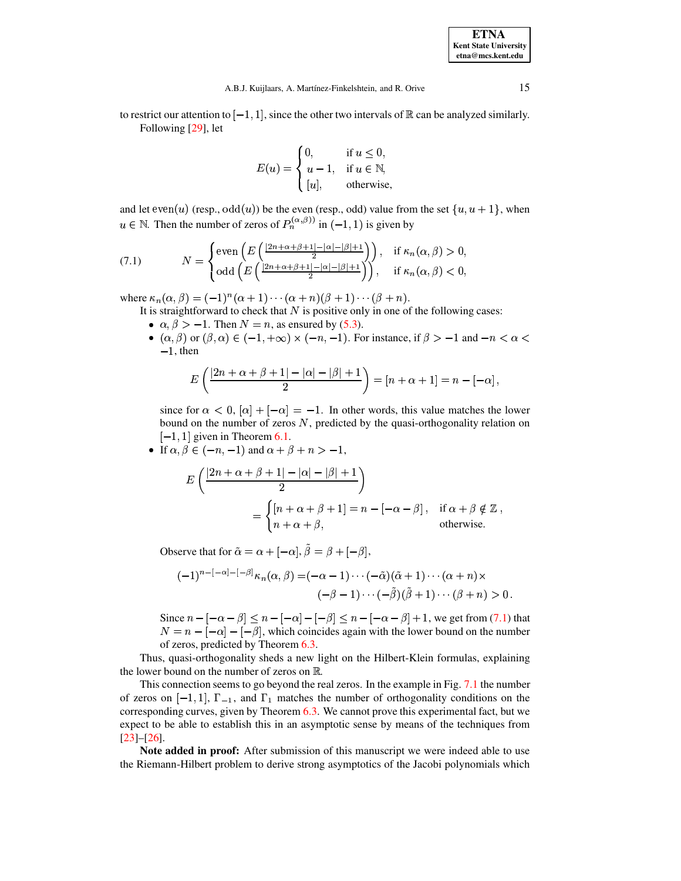to restrict our attention to  $[-1, 1]$ , since the other two intervals of  $\mathbb R$  can be analyzed similarly. Following [29], let

<span id="page-14-0"></span>
$$
E(u) = \begin{cases} 0, & \text{if } u \le 0, \\ u - 1, & \text{if } u \in \mathbb{N}, \\ [u], & \text{otherwise,} \end{cases}
$$

and let  $even(u)$  (resp.,  $odd(u)$ ) be the even (resp., odd) value from the set  $\{u, u + 1\}$ , when  $u \in \mathbb{N}$ . Then the number of zeros of  $P_n^{(\alpha,\beta)}$  in  $(-1,1)$  is given by

(7.1) 
$$
N = \begin{cases} \text{even}\left(E\left(\frac{|2n+\alpha+\beta+1|-|\alpha|-|\beta|+1}{2}\right)\right), & \text{if } \kappa_n(\alpha,\beta) > 0, \\ \text{odd}\left(E\left(\frac{|2n+\alpha+\beta+1|-|\alpha|-|\beta|+1}{2}\right)\right), & \text{if } \kappa_n(\alpha,\beta) < 0, \end{cases}
$$

where  $\kappa_n(\alpha, \beta) = (-1)^n(\alpha + 1) \cdots (\alpha + n)(\beta + 1) \cdots (\beta + n).$ 

- It is straightforward to check that  $N$  is positive only in one of the following cases:
- $\alpha, \beta > -1$ . Then  $N = n$ , as ensured by (5.3).
- $(\alpha, \beta)$  or  $(\beta, \alpha) \in (-1, +\infty) \times (-n, -1)$ . For instance, if  $\beta > -1$  and  $-n < \alpha <$  $-1$ , then

$$
E\left(\frac{|2n+\alpha+\beta+1|-|\alpha|-|\beta|+1}{2}\right)=[n+\alpha+1]=n-[-\alpha],
$$

since for  $\alpha < 0$ ,  $[\alpha] + [-\alpha] = -1$ . In other words, this value matches the lower bound on the number of zeros  $N$ , predicted by the quasi-orthogonality relation on  $[-1, 1]$  given in Theorem 6.1.

• If  $\alpha, \beta \in (-n, -1)$  and  $\alpha + \beta + n > -1$ ,

$$
E\left(\frac{|2n+\alpha+\beta+1|-|\alpha|-|\beta|+1}{2}\right)
$$
  
= 
$$
\begin{cases} [n+\alpha+\beta+1]=n-[-\alpha-\beta], & \text{if } \alpha+\beta \notin \mathbb{Z}, \\ n+\alpha+\beta, & \text{otherwise.} \end{cases}
$$

Observe that for  $\tilde{\alpha} = \alpha + [-\alpha], \tilde{\beta} = \beta + [-\beta],$ 

$$
(-1)^{n-[-\alpha]-[-\beta]} \kappa_n(\alpha,\beta) = (-\alpha-1)\cdots(-\tilde{\alpha})(\tilde{\alpha}+1)\cdots(\alpha+n) \times
$$
  

$$
(-\beta-1)\cdots(-\tilde{\beta})(\tilde{\beta}+1)\cdots(\beta+n) > 0
$$

Since  $n - [-\alpha - \beta] \le n - [-\alpha] - [-\beta] \le n - [-\alpha - \beta] + 1$ , we get from (7.1) that  $N = n - [-\alpha] - [-\beta]$ , which coincides again with the lower bound on the number of zeros, predicted by Theorem  $6.3$ .

Thus, quasi-orthogonality sheds a new light on the Hilbert-Klein formulas, explaining the lower bound on the number of zeros on  $\mathbb R$ .

This connection seems to go beyond the real zeros. In the example in Fig. 7.1 the number of zeros on  $[-1,1]$ ,  $\Gamma_{-1}$ , and  $\Gamma_1$  matches the number of orthogonality conditions on the corresponding curves, given by Theorem 6.3. We cannot prove this experimental fact, but we expect to be able to establish this in an asymptotic sense by means of the techniques from  $[23]-[26].$ 

Note added in proof: After submission of this manuscript we were indeed able to use the Riemann-Hilbert problem to derive strong asymptotics of the Jacobi polynomials which

15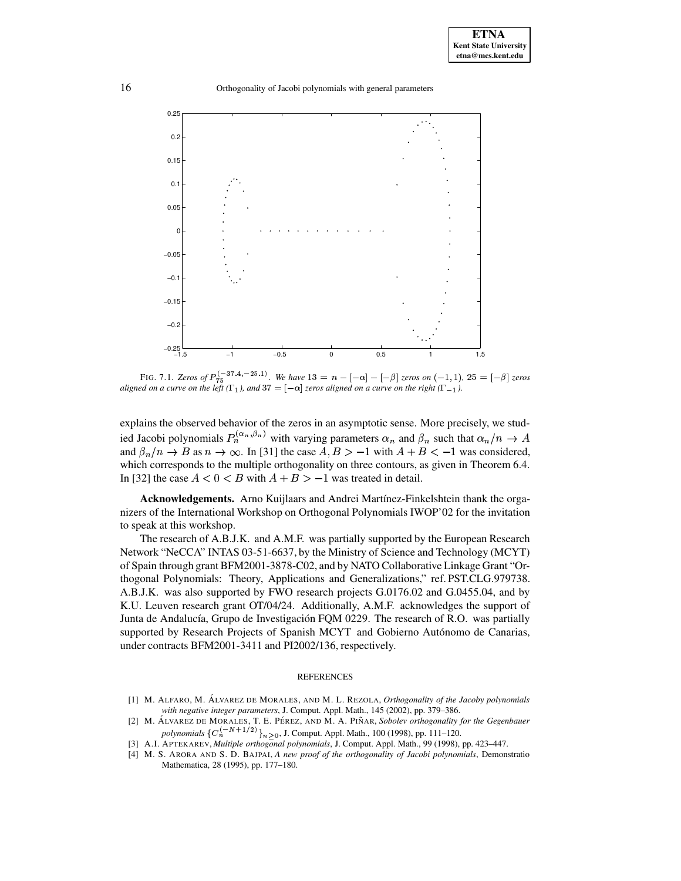

<span id="page-15-4"></span>FIG. 7.1. Zeros of  $P_{75}^{(-37.4, -25.1)}$ . We have  $13 = n - [-\alpha] - [-\beta]$  zeros on  $(-1, 1)$ ,  $25 = [-\beta]$  zeros aligned on a curve on the left ( $\Gamma_1$ ), and  $37 = \lfloor -\alpha \rfloor$  zeros aligned on a curve on the right ( $\Gamma_{-1}$ ).

explains the observed behavior of the zeros in an asymptotic sense. More precisely, we studied Jacobi polynomials  $P_n^{(\alpha_n,\beta_n)}$  with varying parameters  $\alpha_n$  and  $\beta_n$  such that  $\alpha_n/n \to A$ and  $\beta_n/n \to B$  as  $n \to \infty$ . In [31] the case  $A, B > -1$  with  $A + B < -1$  was considered, which corresponds to the multiple orthogonality on three contours, as given in Theorem 6.4. In [32] the case  $A < 0 < B$  with  $A + B > -1$  was treated in detail.

Acknowledgements. Arno Kuijlaars and Andrei Martínez-Finkelshtein thank the organizers of the International Workshop on Orthogonal Polynomials IWOP'02 for the invitation to speak at this workshop.

The research of A.B.J.K. and A.M.F. was partially supported by the European Research Network "NeCCA" INTAS 03-51-6637, by the Ministry of Science and Technology (MCYT) of Spain through grant BFM2001-3878-C02, and by NATO Collaborative Linkage Grant "Orthogonal Polynomials: Theory, Applications and Generalizations," ref. PST.CLG.979738. A.B.J.K. was also supported by FWO research projects G.0176.02 and G.0455.04, and by K.U. Leuven research grant OT/04/24. Additionally, A.M.F. acknowledges the support of Junta de Andalucía, Grupo de Investigación FQM 0229. The research of R.O. was partially supported by Research Projects of Spanish MCYT and Gobierno Autónomo de Canarias, under contracts BFM2001-3411 and PI2002/136, respectively.

## **REFERENCES**

- <span id="page-15-2"></span>[1] M. ALFARO, M. ÁLVAREZ DE MORALES, AND M. L. REZOLA, Orthogonality of the Jacoby polynomials with negative integer parameters, J. Comput. Appl. Math., 145 (2002), pp. 379-386.
- <span id="page-15-3"></span>[2] M. ALVAREZ DE MORALES, T. E. PÉREZ, AND M. A. PIÑAR, Sobolev orthogonality for the Gegenbauer polynomials  ${C_n^{(-N+1/2)}\}_{n>0}$ , J. Comput. Appl. Math., 100 (1998), pp. 111-120.
- <span id="page-15-1"></span><span id="page-15-0"></span>[3] A.I. APTEKAREV, Multiple orthogonal polynomials, J. Comput. Appl. Math., 99 (1998), pp. 423-447.
- [4] M. S. ARORA AND S. D. BAJPAI, A new proof of the orthogonality of Jacobi polynomials, Demonstratio Mathematica, 28 (1995), pp. 177-180.